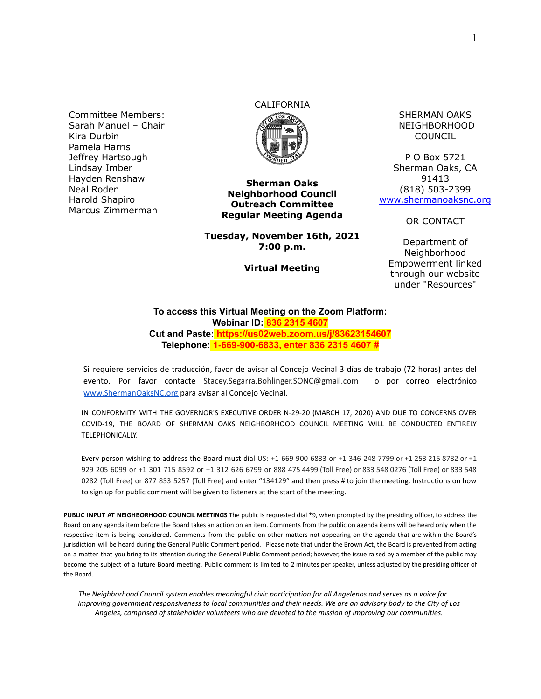Committee Members: Sarah Manuel – Chair Kira Durbin Pamela Harris Jeffrey Hartsough Lindsay Imber Hayden Renshaw Neal Roden Harold Shapiro Marcus Zimmerman

# CALIFORNIA



**Sherman Oaks Neighborhood Council Outreach Committee Regular Meeting Agenda**

**Tuesday, November 16th, 2021 7:00 p.m.**

**Virtual Meeting**

SHERMAN OAKS NEIGHBORHOOD COUNCIL

P O Box 5721 Sherman Oaks, CA 91413 (818) 503-2399 [www.shermanoaksnc.org](http://www.shermanoaksnc.org/)

OR CONTACT

Department of Neighborhood Empowerment linked through our website under "Resources"

#### **To access this Virtual Meeting on the Zoom Platform: Webinar ID: 836 2315 4607 Cut and Paste: https://us02web.zoom.us/j/83623154607 Telephone: 1-669-900-6833, enter 836 2315 4607 #**

Si requiere servicios de traducción, favor de avisar al Concejo Vecinal 3 días de trabajo (72 horas) antes del evento. Por favor contacte Stacey.Segarra.Bohlinger.SONC@gmail.com o por correo electrónico [www.ShermanOaksNC.org](http://www.shermanoaksnc.org) para avisar al Concejo Vecinal.

IN CONFORMITY WITH THE GOVERNOR'S EXECUTIVE ORDER N-29-20 (MARCH 17, 2020) AND DUE TO CONCERNS OVER COVID-19, THE BOARD OF SHERMAN OAKS NEIGHBORHOOD COUNCIL MEETING WILL BE CONDUCTED ENTIRELY TELEPHONICALLY.

Every person wishing to address the Board must dial US: +1 669 900 6833 or +1 346 248 7799 or +1 253 215 8782 or +1 929 205 6099 or +1 301 715 8592 or +1 312 626 6799 or 888 475 4499 (Toll Free) or 833 548 0276 (Toll Free) or 833 548 0282 (Toll Free) or 877 853 5257 (Toll Free) and enter "134129" and then press # to join the meeting. Instructions on how to sign up for public comment will be given to listeners at the start of the meeting.

**PUBLIC INPUT AT NEIGHBORHOOD COUNCIL MEETINGS** The public is requested dial \*9, when prompted by the presiding officer, to address the Board on any agenda item before the Board takes an action on an item. Comments from the public on agenda items will be heard only when the respective item is being considered. Comments from the public on other matters not appearing on the agenda that are within the Board's jurisdiction will be heard during the General Public Comment period. Please note that under the Brown Act, the Board is prevented from acting on a matter that you bring to its attention during the General Public Comment period; however, the issue raised by a member of the public may become the subject of a future Board meeting. Public comment is limited to 2 minutes per speaker, unless adjusted by the presiding officer of the Board.

*The Neighborhood Council system enables meaningful civic participation for all Angelenos and serves as a voice for improving government responsiveness to local communities and their needs. We are an advisory body to the City of Los Angeles, comprised of stakeholder volunteers who are devoted to the mission of improving our communities.*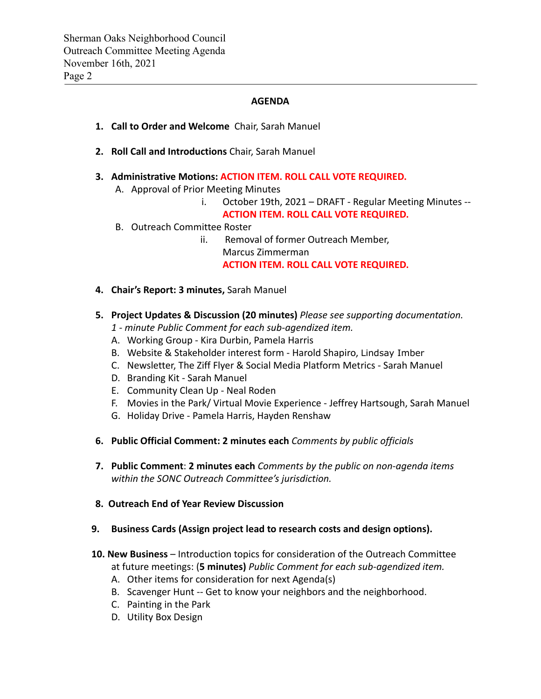### **AGENDA**

- **1. Call to Order and Welcome** Chair, Sarah Manuel
- **2. Roll Call and Introductions** Chair, Sarah Manuel
- **3. Administrative Motions: ACTION ITEM. ROLL CALL VOTE REQUIRED.**
	- A. Approval of Prior Meeting Minutes
		- i. October 19th, 2021 DRAFT Regular Meeting Minutes --
		- **ACTION ITEM. ROLL CALL VOTE REQUIRED.**
	- B. Outreach Committee Roster
		- ii. Removal of former Outreach Member, Marcus Zimmerman **ACTION ITEM. ROLL CALL VOTE REQUIRED.**
- **4. Chair's Report: 3 minutes,** Sarah Manuel
- **5. Project Updates & Discussion (20 minutes)** *Please see supporting documentation.*
	- *1 minute Public Comment for each sub-agendized item.*
	- A. Working Group Kira Durbin, Pamela Harris
	- B. Website & Stakeholder interest form Harold Shapiro, Lindsay Imber
	- C. Newsletter, The Ziff Flyer & Social Media Platform Metrics Sarah Manuel
	- D. Branding Kit Sarah Manuel
	- E. Community Clean Up Neal Roden
	- F. Movies in the Park/ Virtual Movie Experience Jeffrey Hartsough, Sarah Manuel
	- G. Holiday Drive Pamela Harris, Hayden Renshaw
- **6. Public Official Comment: 2 minutes each** *Comments by public officials*
- **7. Public Comment**: **2 minutes each** *Comments by the public on non-agenda items within the SONC Outreach Committee's jurisdiction.*
- **8. Outreach End of Year Review Discussion**
- **9. Business Cards (Assign project lead to research costs and design options).**
- **10. New Business** Introduction topics for consideration of the Outreach Committee
	- at future meetings: (**5 minutes)** *Public Comment for each sub-agendized item.*
	- A. Other items for consideration for next Agenda(s)
	- B. Scavenger Hunt -- Get to know your neighbors and the neighborhood.
	- C. Painting in the Park
	- D. Utility Box Design